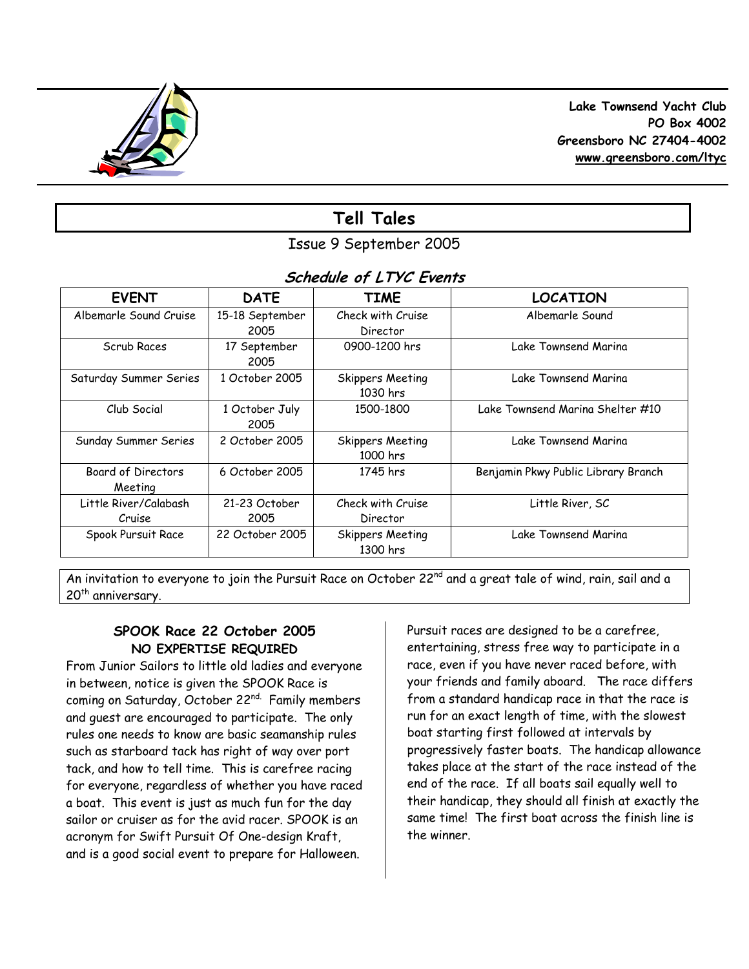

 **Lake Townsend Yacht Club PO Box 4002 Greensboro NC 27404-4002 www.greensboro.com/ltyc** 

# **Tell Tales**

Issue 9 September 2005

# **Schedule of LTYC Events**

| <b>EVENT</b>                  | <b>DATE</b>             | <b>TIME</b>                         | <b>LOCATION</b>                     |
|-------------------------------|-------------------------|-------------------------------------|-------------------------------------|
| Albemarle Sound Cruise        | 15-18 September<br>2005 | Check with Cruise<br>Director       | Albemarle Sound                     |
| Scrub Races                   | 17 September<br>2005    | 0900-1200 hrs                       | Lake Townsend Marina                |
| Saturday Summer Series        | 1 October 2005          | Skippers Meeting<br>$1030$ hrs      | Lake Townsend Marina                |
| Club Social                   | 1 October July<br>2005  | 1500-1800                           | Lake Townsend Marina Shelter #10    |
| Sunday Summer Series          | 2 October 2005          | Skippers Meeting<br>$1000$ hrs      | Lake Townsend Marina                |
| Board of Directors<br>Meeting | 6 October 2005          | 1745 hrs                            | Benjamin Pkwy Public Library Branch |
| Little River/Calabash         | 21-23 October           | Check with Cruise                   | Little River, SC                    |
| Cruise                        | 2005                    | Director                            |                                     |
| Spook Pursuit Race            | 22 October 2005         | <b>Skippers Meeting</b><br>1300 hrs | Lake Townsend Marina                |

An invitation to everyone to join the Pursuit Race on October 22<sup>nd</sup> and a great tale of wind, rain, sail and a 20<sup>th</sup> anniversary.

### **SPOOK Race 22 October 2005 NO EXPERTISE REQUIRED**

From Junior Sailors to little old ladies and everyone in between, notice is given the SPOOK Race is coming on Saturday, October 22<sup>nd.</sup> Family members and guest are encouraged to participate. The only rules one needs to know are basic seamanship rules such as starboard tack has right of way over port tack, and how to tell time. This is carefree racing for everyone, regardless of whether you have raced a boat. This event is just as much fun for the day sailor or cruiser as for the avid racer. SPOOK is an acronym for Swift Pursuit Of One-design Kraft, and is a good social event to prepare for Halloween.

Pursuit races are designed to be a carefree, entertaining, stress free way to participate in a race, even if you have never raced before, with your friends and family aboard. The race differs from a standard handicap race in that the race is run for an exact length of time, with the slowest boat starting first followed at intervals by progressively faster boats. The handicap allowance takes place at the start of the race instead of the end of the race. If all boats sail equally well to their handicap, they should all finish at exactly the same time! The first boat across the finish line is the winner.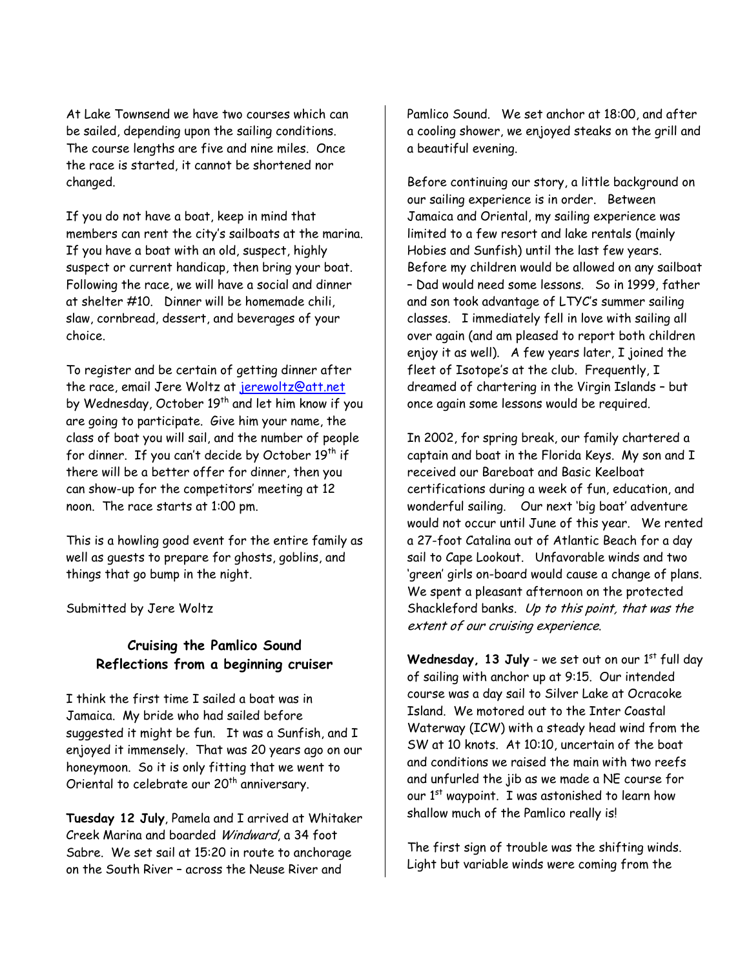At Lake Townsend we have two courses which can be sailed, depending upon the sailing conditions. The course lengths are five and nine miles. Once the race is started, it cannot be shortened nor changed.

If you do not have a boat, keep in mind that members can rent the city's sailboats at the marina. If you have a boat with an old, suspect, highly suspect or current handicap, then bring your boat. Following the race, we will have a social and dinner at shelter #10. Dinner will be homemade chili, slaw, cornbread, dessert, and beverages of your choice.

To register and be certain of getting dinner after the race, email Jere Woltz at jerewoltz@att.net by Wednesday, October 19<sup>th</sup> and let him know if you are going to participate. Give him your name, the class of boat you will sail, and the number of people for dinner. If you can't decide by October  $19<sup>th</sup>$  if there will be a better offer for dinner, then you can show-up for the competitors' meeting at 12 noon. The race starts at 1:00 pm.

This is a howling good event for the entire family as well as guests to prepare for ghosts, goblins, and things that go bump in the night.

Submitted by Jere Woltz

# **Cruising the Pamlico Sound Reflections from a beginning cruiser**

I think the first time I sailed a boat was in Jamaica. My bride who had sailed before suggested it might be fun. It was a Sunfish, and I enjoyed it immensely. That was 20 years ago on our honeymoon. So it is only fitting that we went to Oriental to celebrate our 20<sup>th</sup> anniversary.

**Tuesday 12 July**, Pamela and I arrived at Whitaker Creek Marina and boarded Windward, a 34 foot Sabre. We set sail at 15:20 in route to anchorage on the South River – across the Neuse River and

Pamlico Sound. We set anchor at 18:00, and after a cooling shower, we enjoyed steaks on the grill and a beautiful evening.

Before continuing our story, a little background on our sailing experience is in order. Between Jamaica and Oriental, my sailing experience was limited to a few resort and lake rentals (mainly Hobies and Sunfish) until the last few years. Before my children would be allowed on any sailboat – Dad would need some lessons. So in 1999, father and son took advantage of LTYC's summer sailing classes. I immediately fell in love with sailing all over again (and am pleased to report both children enjoy it as well). A few years later, I joined the fleet of Isotope's at the club. Frequently, I dreamed of chartering in the Virgin Islands – but once again some lessons would be required.

In 2002, for spring break, our family chartered a captain and boat in the Florida Keys. My son and I received our Bareboat and Basic Keelboat certifications during a week of fun, education, and wonderful sailing. Our next 'big boat' adventure would not occur until June of this year. We rented a 27-foot Catalina out of Atlantic Beach for a day sail to Cape Lookout. Unfavorable winds and two 'green' girls on-board would cause a change of plans. We spent a pleasant afternoon on the protected Shackleford banks. Up to this point, that was the extent of our cruising experience.

Wednesday, 13 July - we set out on our 1<sup>st</sup> full day of sailing with anchor up at 9:15. Our intended course was a day sail to Silver Lake at Ocracoke Island. We motored out to the Inter Coastal Waterway (ICW) with a steady head wind from the SW at 10 knots. At 10:10, uncertain of the boat and conditions we raised the main with two reefs and unfurled the jib as we made a NE course for our 1<sup>st</sup> waypoint. I was astonished to learn how shallow much of the Pamlico really is!

The first sign of trouble was the shifting winds. Light but variable winds were coming from the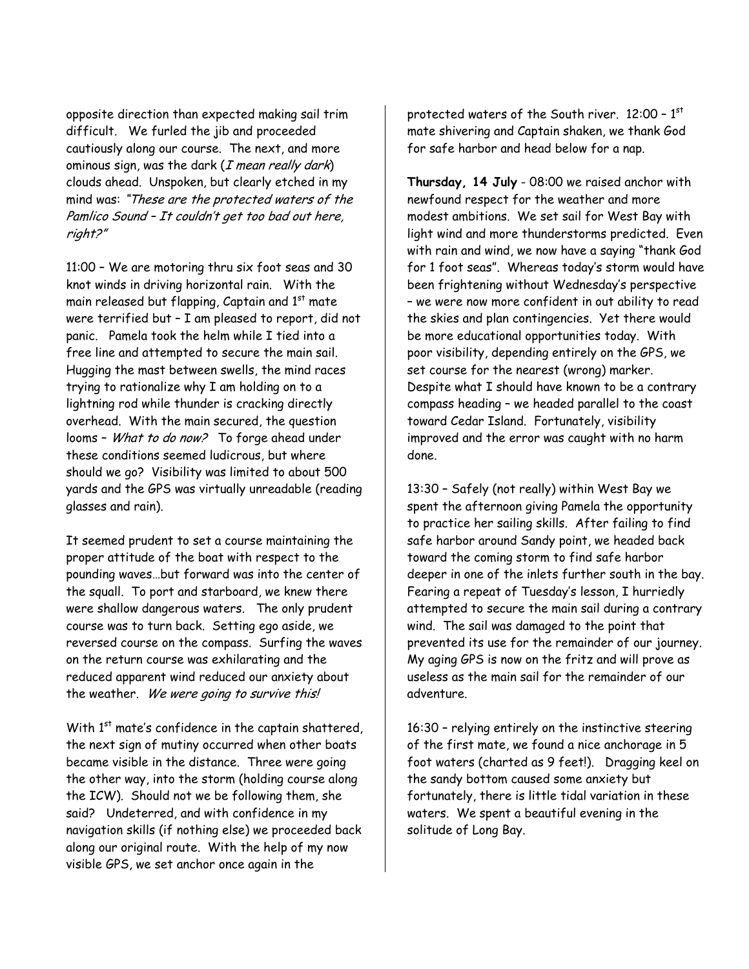opposite direction than expected making sail trim difficult. We furled the jib and proceeded cautiously along our course. The next, and more ominous sign, was the dark  $(I$  mean really dark) clouds ahead. Unspoken, but clearly etched in my mind was: "These are the protected waters of the Pamlico Sound – It couldn't get too bad out here, right?"

11:00 – We are motoring thru six foot seas and 30 knot winds in driving horizontal rain. With the main released but flapping, Captain and  $1<sup>st</sup>$  mate were terrified but – I am pleased to report, did not panic. Pamela took the helm while I tied into a free line and attempted to secure the main sail. Hugging the mast between swells, the mind races trying to rationalize why I am holding on to a lightning rod while thunder is cracking directly overhead. With the main secured, the question looms - What to do now? To forge ahead under these conditions seemed ludicrous, but where should we go? Visibility was limited to about 500 yards and the GPS was virtually unreadable (reading glasses and rain).

It seemed prudent to set a course maintaining the proper attitude of the boat with respect to the pounding waves…but forward was into the center of the squall. To port and starboard, we knew there were shallow dangerous waters. The only prudent course was to turn back. Setting ego aside, we reversed course on the compass. Surfing the waves on the return course was exhilarating and the reduced apparent wind reduced our anxiety about the weather. We were going to survive this!

With 1<sup>st</sup> mate's confidence in the captain shattered, the next sign of mutiny occurred when other boats became visible in the distance. Three were going the other way, into the storm (holding course along the ICW). Should not we be following them, she said? Undeterred, and with confidence in my navigation skills (if nothing else) we proceeded back along our original route. With the help of my now visible GPS, we set anchor once again in the

protected waters of the South river.  $12:00 - 1$ <sup>st</sup> mate shivering and Captain shaken, we thank God for safe harbor and head below for a nap.

**Thursday, 14 July** - 08:00 we raised anchor with newfound respect for the weather and more modest ambitions. We set sail for West Bay with light wind and more thunderstorms predicted. Even with rain and wind, we now have a saying "thank God for 1 foot seas". Whereas today's storm would have been frightening without Wednesday's perspective – we were now more confident in out ability to read the skies and plan contingencies. Yet there would be more educational opportunities today. With poor visibility, depending entirely on the GPS, we set course for the nearest (wrong) marker. Despite what I should have known to be a contrary compass heading – we headed parallel to the coast toward Cedar Island. Fortunately, visibility improved and the error was caught with no harm done.

13:30 – Safely (not really) within West Bay we spent the afternoon giving Pamela the opportunity to practice her sailing skills. After failing to find safe harbor around Sandy point, we headed back toward the coming storm to find safe harbor deeper in one of the inlets further south in the bay. Fearing a repeat of Tuesday's lesson, I hurriedly attempted to secure the main sail during a contrary wind. The sail was damaged to the point that prevented its use for the remainder of our journey. My aging GPS is now on the fritz and will prove as useless as the main sail for the remainder of our adventure.

16:30 – relying entirely on the instinctive steering of the first mate, we found a nice anchorage in 5 foot waters (charted as 9 feet!). Dragging keel on the sandy bottom caused some anxiety but fortunately, there is little tidal variation in these waters. We spent a beautiful evening in the solitude of Long Bay.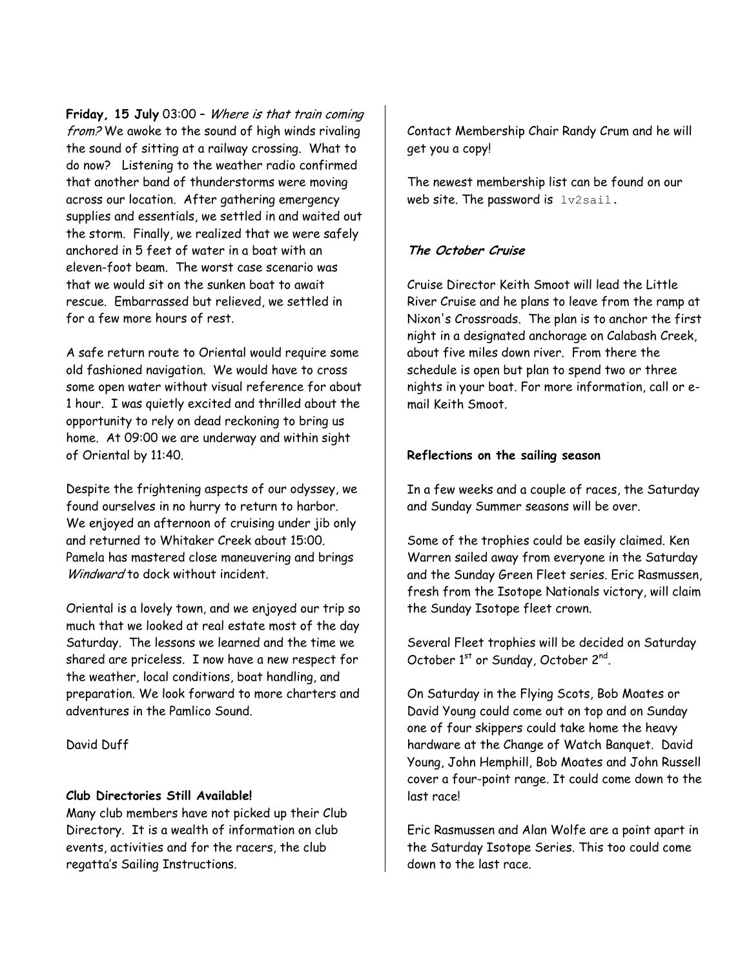**Friday, 15 July** 03:00 – Where is that train coming from? We awoke to the sound of high winds rivaling the sound of sitting at a railway crossing. What to do now? Listening to the weather radio confirmed that another band of thunderstorms were moving across our location. After gathering emergency supplies and essentials, we settled in and waited out the storm. Finally, we realized that we were safely anchored in 5 feet of water in a boat with an eleven-foot beam. The worst case scenario was that we would sit on the sunken boat to await rescue. Embarrassed but relieved, we settled in for a few more hours of rest.

A safe return route to Oriental would require some old fashioned navigation. We would have to cross some open water without visual reference for about 1 hour. I was quietly excited and thrilled about the opportunity to rely on dead reckoning to bring us home. At 09:00 we are underway and within sight of Oriental by 11:40.

Despite the frightening aspects of our odyssey, we found ourselves in no hurry to return to harbor. We enjoyed an afternoon of cruising under jib only and returned to Whitaker Creek about 15:00. Pamela has mastered close maneuvering and brings Windward to dock without incident.

Oriental is a lovely town, and we enjoyed our trip so much that we looked at real estate most of the day Saturday. The lessons we learned and the time we shared are priceless. I now have a new respect for the weather, local conditions, boat handling, and preparation. We look forward to more charters and adventures in the Pamlico Sound.

David Duff

### **Club Directories Still Available!**

Many club members have not picked up their Club Directory. It is a wealth of information on club events, activities and for the racers, the club regatta's Sailing Instructions.

Contact Membership Chair Randy Crum and he will get you a copy!

The newest membership list can be found on our web site. The password is lv2sail.

### **The October Cruise**

Cruise Director Keith Smoot will lead the Little River Cruise and he plans to leave from the ramp at Nixon's Crossroads. The plan is to anchor the first night in a designated anchorage on Calabash Creek, about five miles down river. From there the schedule is open but plan to spend two or three nights in your boat. For more information, call or email Keith Smoot.

### **Reflections on the sailing season**

In a few weeks and a couple of races, the Saturday and Sunday Summer seasons will be over.

Some of the trophies could be easily claimed. Ken Warren sailed away from everyone in the Saturday and the Sunday Green Fleet series. Eric Rasmussen, fresh from the Isotope Nationals victory, will claim the Sunday Isotope fleet crown.

Several Fleet trophies will be decided on Saturday October 1st or Sunday, October 2nd.

On Saturday in the Flying Scots, Bob Moates or David Young could come out on top and on Sunday one of four skippers could take home the heavy hardware at the Change of Watch Banquet. David Young, John Hemphill, Bob Moates and John Russell cover a four-point range. It could come down to the last race!

Eric Rasmussen and Alan Wolfe are a point apart in the Saturday Isotope Series. This too could come down to the last race.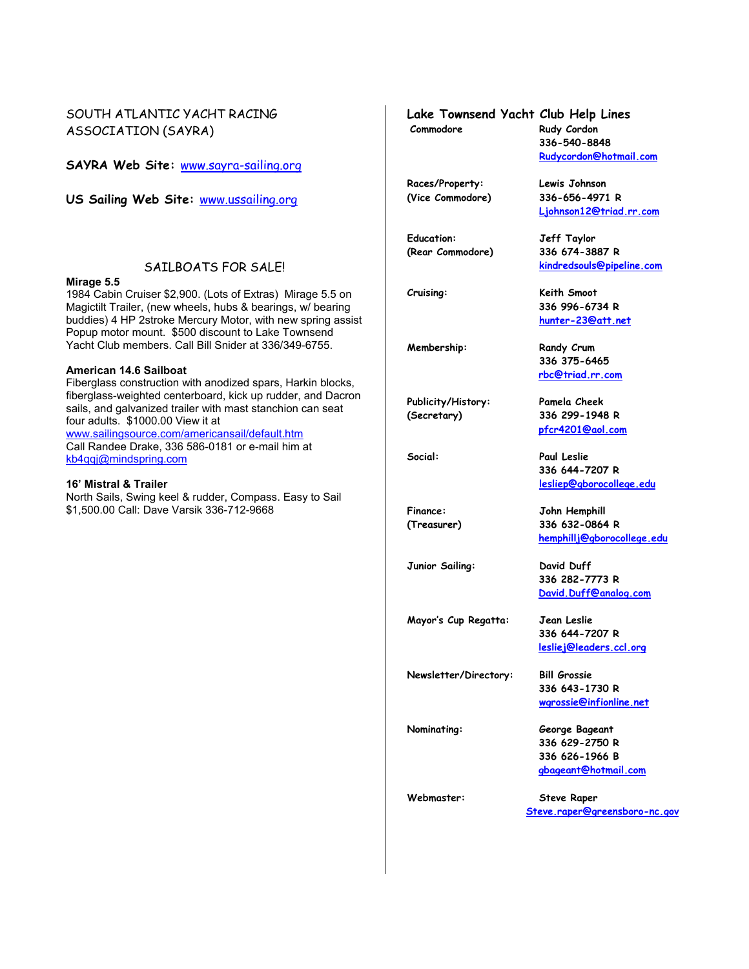### SOUTH ATLANTIC YACHT RACING ASSOCIATION (SAYRA)

**SAYRA Web Site:** www.sayra-sailing.org

**US Sailing Web Site:** www.ussailing.org

#### SAILBOATS FOR SALE!

#### **Mirage 5.5**

1984 Cabin Cruiser \$2,900. (Lots of Extras) Mirage 5.5 on Magictilt Trailer, (new wheels, hubs & bearings, w/ bearing buddies) 4 HP 2stroke Mercury Motor, with new spring assist Popup motor mount. \$500 discount to Lake Townsend Yacht Club members. Call Bill Snider at 336/349-6755.

#### **American 14.6 Sailboat**

Fiberglass construction with anodized spars, Harkin blocks, fiberglass-weighted centerboard, kick up rudder, and Dacron sails, and galvanized trailer with mast stanchion can seat four adults. \$1000.00 View it at

www.sailingsource.com/americansail/default.htm Call Randee Drake, 336 586-0181 or e-mail him at kb4qqj@mindspring.com

#### **16' Mistral & Trailer**

North Sails, Swing keel & rudder, Compass. Easy to Sail \$1,500.00 Call: Dave Varsik 336-712-9668

### **Lake Townsend Yacht Club Help Lines**

**Commodore Rudy Cordon**

**Races/Property: Lewis Johnson (Vice Commodore) 336-656-4971 R** 

**Education: Jeff Taylor (Rear Commodore) 336 674-3887 R** 

**Membership: Randy Crum** 

**Publicity/History: Pamela Cheek (Secretary) 336 299-1948 R** 

**Junior Sailing: David Duff** 

**Mayor's Cup Regatta: Jean Leslie** 

**Newsletter/Directory: Bill Grossie** 

**Nominating: George Bageant 336 629-2750 R 336 626-1966 B gbageant@hotmail.com** 

**Webmaster: Steve Raper Steve.raper@greensboro-nc.gov** 

# **336-540-8848 Rudycordon@hotmail.com**

 **Ljohnson12@triad.rr.com**

 **kindredsouls@pipeline.com**

**Cruising: Keith Smoot 336 996-6734 R hunter-23@att.net** 

> **336 375-6465 rbc@triad.rr.com**

 **pfcr4201@aol.com** 

**Social: Paul Leslie 336 644-7207 R lesliep@gborocollege.edu** 

**Finance: John Hemphill (Treasurer) 336 632-0864 R hemphillj@gborocollege.edu**

> **336 282-7773 R David.Duff@analog.com**

 **336 644-7207 R lesliej@leaders.ccl.org**

 **336 643-1730 R wgrossie@infionline.net**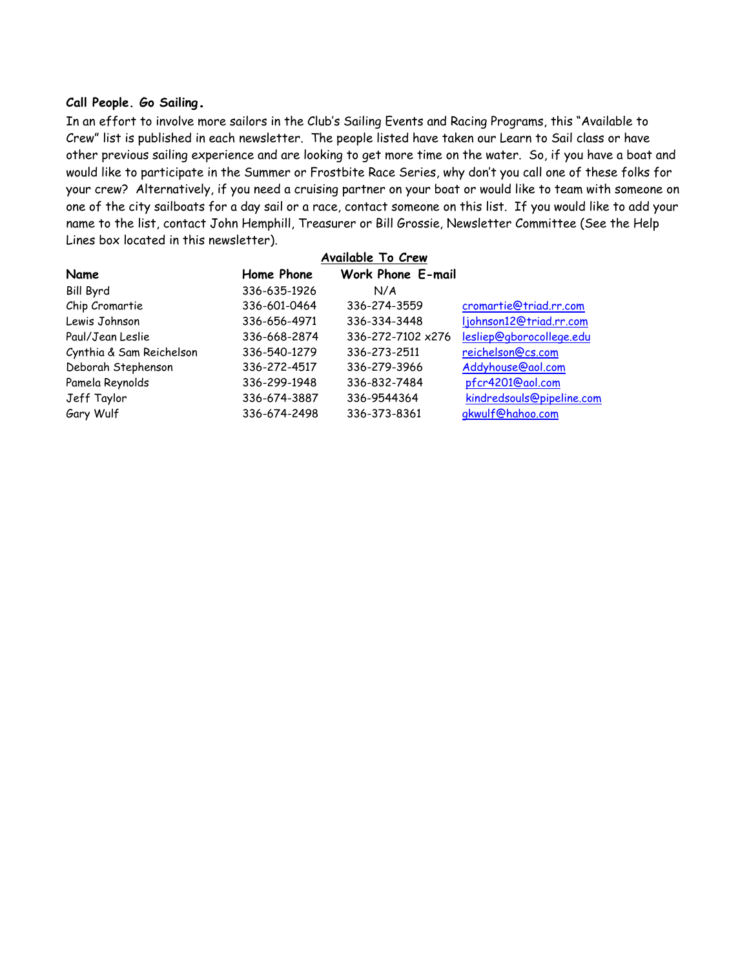### **Call People. Go Sailing.**

In an effort to involve more sailors in the Club's Sailing Events and Racing Programs, this "Available to Crew" list is published in each newsletter. The people listed have taken our Learn to Sail class or have other previous sailing experience and are looking to get more time on the water. So, if you have a boat and would like to participate in the Summer or Frostbite Race Series, why don't you call one of these folks for your crew? Alternatively, if you need a cruising partner on your boat or would like to team with someone on one of the city sailboats for a day sail or a race, contact someone on this list. If you would like to add your name to the list, contact John Hemphill, Treasurer or Bill Grossie, Newsletter Committee (See the Help Lines box located in this newsletter).

| Available To Crew        |              |                          |                           |
|--------------------------|--------------|--------------------------|---------------------------|
| Name                     | Home Phone   | <b>Work Phone E-mail</b> |                           |
| <b>Bill Byrd</b>         | 336-635-1926 | N/A                      |                           |
| Chip Cromartie           | 336-601-0464 | 336-274-3559             | cromartie@triad.rr.com    |
| Lewis Johnson            | 336-656-4971 | 336-334-3448             | ljohnson12@triad.rr.com   |
| Paul/Jean Leslie         | 336-668-2874 | 336-272-7102 x276        | lesliep@gborocollege.edu  |
| Cynthia & Sam Reichelson | 336-540-1279 | 336-273-2511             | reichelson@cs.com         |
| Deborah Stephenson       | 336-272-4517 | 336-279-3966             | Addyhouse@aol.com         |
| Pamela Reynolds          | 336-299-1948 | 336-832-7484             | pfcr4201@aol.com          |
| Jeff Taylor              | 336-674-3887 | 336-9544364              | kindredsouls@pipeline.com |
| Gary Wulf                | 336-674-2498 | 336-373-8361             | gkwulf@hahoo.com          |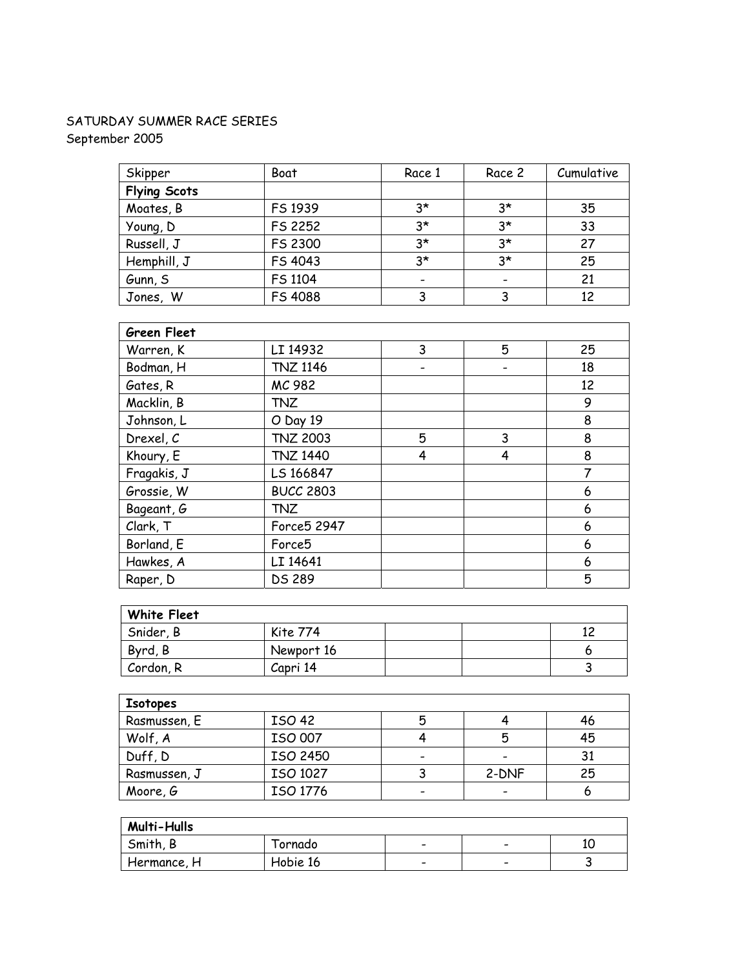## SATURDAY SUMMER RACE SERIES September 2005

| Skipper             | Boat    | Race 1                   | Race 2      | Cumulative |
|---------------------|---------|--------------------------|-------------|------------|
| <b>Flying Scots</b> |         |                          |             |            |
| Moates, B           | FS 1939 | $3*$                     | 3*          | 35         |
| Young, D            | FS 2252 | $3*$                     | $3*$        | 33         |
| Russell, J          | FS 2300 | $3*$                     | $3*$        | 27         |
| Hemphill, J         | FS 4043 | $3*$                     | $3^{\star}$ | 25         |
| Gunn, S             | FS 1104 | $\overline{\phantom{a}}$ |             | 21         |
| Jones, W            | FS 4088 |                          |             | 12         |

| <b>Green Fleet</b> |                    |   |   |                |
|--------------------|--------------------|---|---|----------------|
| Warren, K          | LI 14932           | 3 | 5 | 25             |
| Bodman, H          | <b>TNZ 1146</b>    |   |   | 18             |
| Gates, R           | MC 982             |   |   | 12             |
| Macklin, B         | TNZ                |   |   | 9              |
| Johnson, L         | O Day 19           |   |   | 8              |
| Drexel, C          | <b>TNZ 2003</b>    | 5 | 3 | 8              |
| Khoury, E          | <b>TNZ 1440</b>    | 4 | 4 | 8              |
| Fragakis, J        | LS 166847          |   |   | $\overline{7}$ |
| Grossie, W         | <b>BUCC 2803</b>   |   |   | 6              |
| Bageant, G         | <b>TNZ</b>         |   |   | 6              |
| Clark, T           | Force5 2947        |   |   | 6              |
| Borland, E         | Force <sub>5</sub> |   |   | 6              |
| Hawkes, A          | LI 14641           |   |   | 6              |
| Raper, D           | <b>DS 289</b>      |   |   | 5              |

| <b>White Fleet</b> |            |  |  |
|--------------------|------------|--|--|
| Snider, B          | Kite 774   |  |  |
| Byrd, B            | Newport 16 |  |  |
| Cordon, R          | Capri 14   |  |  |

| <b>Isotopes</b> |               |                              |                              |    |
|-----------------|---------------|------------------------------|------------------------------|----|
| Rasmussen, E    | <b>ISO 42</b> | 5                            |                              | 46 |
| Wolf, A         | ISO 007       |                              | 5                            | 45 |
| Duff, D         | ISO 2450      | $\qquad \qquad \blacksquare$ | $\qquad \qquad \blacksquare$ | 31 |
| Rasmussen, J    | ISO 1027      |                              | 2-DNF                        | 25 |
| Moore, G        | ISO 1776      | -                            | -                            |    |

| <b>Multi-Hulls</b> |          |                          |                          |    |
|--------------------|----------|--------------------------|--------------------------|----|
| Smith, B           | Iornado  | $\overline{\phantom{0}}$ | $\overline{\phantom{0}}$ | 10 |
| Hermance, H        | Hobie 16 | $\overline{\phantom{0}}$ | $\overline{\phantom{0}}$ |    |